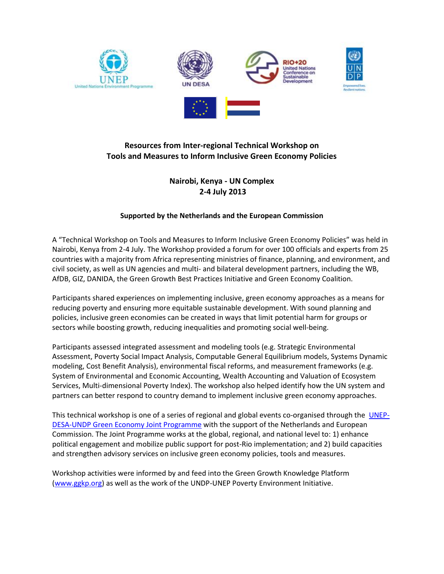

 $\overline{\phantom{a}}$ 

## **Resources from Inter-regional Technical Workshop on Tools and Measures to Inform Inclusive Green Economy Policies**

## **Nairobi, Kenya - UN Complex 2-4 July 2013**

## **Supported by the Netherlands and the European Commission**

A "Technical Workshop on Tools and Measures to Inform Inclusive Green Economy Policies" was held in Nairobi, Kenya from 2-4 July. The Workshop provided a forum for over 100 officials and experts from 25 countries with a majority from Africa representing ministries of finance, planning, and environment, and civil society, as well as UN agencies and multi- and bilateral development partners, including the WB, AfDB, GIZ, DANIDA, the Green Growth Best Practices Initiative and Green Economy Coalition.

Participants shared experiences on implementing inclusive, green economy approaches as a means for reducing poverty and ensuring more equitable sustainable development. With sound planning and policies, inclusive green economies can be created in ways that limit potential harm for groups or sectors while boosting growth, reducing inequalities and promoting social well-being.

Participants assessed integrated assessment and modeling tools (e.g. Strategic Environmental Assessment, Poverty Social Impact Analysis, Computable General Equilibrium models, Systems Dynamic modeling, Cost Benefit Analysis), environmental fiscal reforms, and measurement frameworks (e.g. System of Environmental and Economic Accounting, Wealth Accounting and Valuation of Ecosystem Services, Multi-dimensional Poverty Index). The workshop also helped identify how the UN system and partners can better respond to country demand to implement inclusive green economy approaches.

This technical workshop is one of a series of regional and global events co-organised through the [UNEP-](http://mptf.undp.org/factsheet/fund/JXA00)[DESA-UNDP Green Economy Joint Programme](http://mptf.undp.org/factsheet/fund/JXA00) with the support of the Netherlands and European Commission. The Joint Programme works at the global, regional, and national level to: 1) enhance political engagement and mobilize public support for post-Rio implementation; and 2) build capacities and strengthen advisory services on inclusive green economy policies, tools and measures.

Workshop activities were informed by and feed into the Green Growth Knowledge Platform [\(www.ggkp.org\)](http://www.ggkp.org/) as well as the work of the UNDP-UNEP Poverty Environment Initiative.